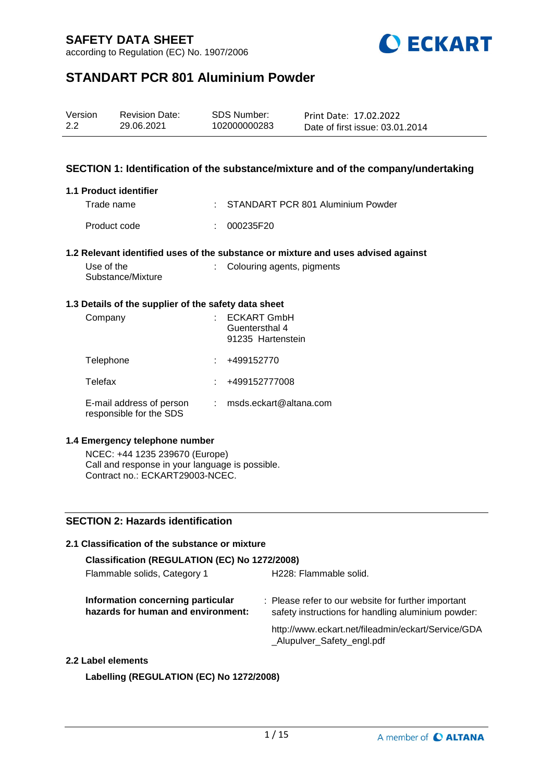according to Regulation (EC) No. 1907/2006



# **STANDART PCR 801 Aluminium Powder**

| Version | <b>Revision Date:</b> | SDS Number:  | Print Date: 17.02.2022          |
|---------|-----------------------|--------------|---------------------------------|
| 2.2     | 29.06.2021            | 102000000283 | Date of first issue: 03.01.2014 |

### **SECTION 1: Identification of the substance/mixture and of the company/undertaking**

### **1.1 Product identifier**

| Trade name   | : STANDART PCR 801 Aluminium Powder |
|--------------|-------------------------------------|
| Product code | : 000235F20                         |

### **1.2 Relevant identified uses of the substance or mixture and uses advised against**

| Use of the        | : Colouring agents, pigments |
|-------------------|------------------------------|
| Substance/Mixture |                              |

### **1.3 Details of the supplier of the safety data sheet**

| Company                                             | <b>ECKART GmbH</b><br>Guentersthal 4<br>91235 Hartenstein |
|-----------------------------------------------------|-----------------------------------------------------------|
| Telephone                                           | +499152770                                                |
| Telefax                                             | +499152777008                                             |
| E-mail address of person<br>responsible for the SDS | msds.eckart@altana.com                                    |

### **1.4 Emergency telephone number**

NCEC: +44 1235 239670 (Europe) Call and response in your language is possible. Contract no.: ECKART29003-NCEC.

### **SECTION 2: Hazards identification**

## **2.1 Classification of the substance or mixture Classification (REGULATION (EC) No 1272/2008)** Flammable solids, Category 1 H228: Flammable solid. **Information concerning particular hazards for human and environment:** : Please refer to our website for further important safety instructions for handling aluminium powder: http://www.eckart.net/fileadmin/eckart/Service/GDA \_Alupulver\_Safety\_engl.pdf **2.2 Label elements**

**Labelling (REGULATION (EC) No 1272/2008)**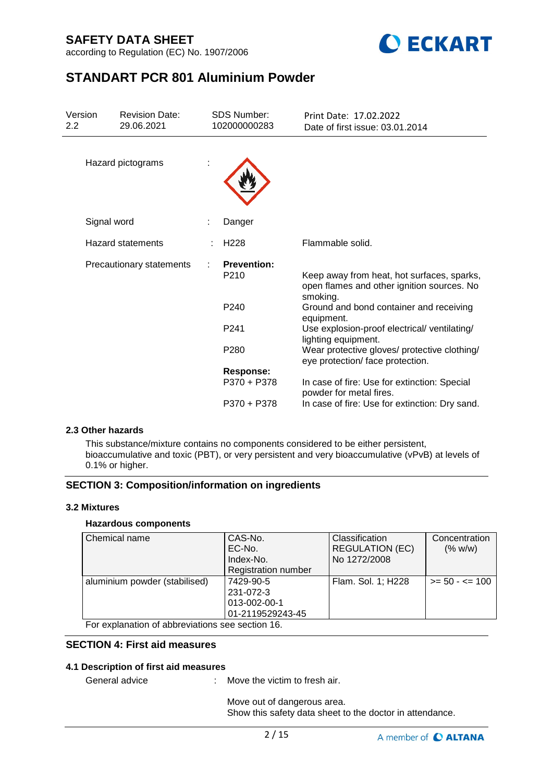according to Regulation (EC) No. 1907/2006



# **STANDART PCR 801 Aluminium Powder**

| Version<br>2.2 |             | <b>Revision Date:</b><br>29.06.2021 | <b>SDS Number:</b><br>102000000283     | Print Date: 17.02.2022<br>Date of first issue: 03.01.2014                                            |
|----------------|-------------|-------------------------------------|----------------------------------------|------------------------------------------------------------------------------------------------------|
|                |             | Hazard pictograms                   |                                        |                                                                                                      |
|                | Signal word |                                     | Danger                                 |                                                                                                      |
|                |             | <b>Hazard statements</b>            | H <sub>228</sub>                       | Flammable solid.                                                                                     |
|                |             | Precautionary statements            | <b>Prevention:</b><br>P <sub>210</sub> | Keep away from heat, hot surfaces, sparks,<br>open flames and other ignition sources. No<br>smoking. |
|                |             |                                     | P <sub>240</sub>                       | Ground and bond container and receiving<br>equipment.                                                |
|                |             |                                     | P <sub>241</sub>                       | Use explosion-proof electrical/ventilating/<br>lighting equipment.                                   |
|                |             |                                     | P <sub>280</sub>                       | Wear protective gloves/ protective clothing/<br>eye protection/ face protection.                     |
|                |             |                                     | <b>Response:</b>                       |                                                                                                      |
|                |             |                                     | P370 + P378                            | In case of fire: Use for extinction: Special<br>powder for metal fires.                              |
|                |             |                                     | P370 + P378                            | In case of fire: Use for extinction: Dry sand.                                                       |

### **2.3 Other hazards**

This substance/mixture contains no components considered to be either persistent, bioaccumulative and toxic (PBT), or very persistent and very bioaccumulative (vPvB) at levels of 0.1% or higher.

### **SECTION 3: Composition/information on ingredients**

### **3.2 Mixtures**

### **Hazardous components**

| Chemical name                                                                                                   | CAS-No.<br>EC-No.<br>Index-No.<br>Registration number      | <b>Classification</b><br><b>REGULATION (EC)</b><br>No 1272/2008 | Concentration<br>(% w/w) |
|-----------------------------------------------------------------------------------------------------------------|------------------------------------------------------------|-----------------------------------------------------------------|--------------------------|
| aluminium powder (stabilised)<br>$\Gamma$ and according the set of all large distinguished and set of $\Lambda$ | 7429-90-5<br>231-072-3<br>013-002-00-1<br>01-2119529243-45 | Flam. Sol. 1; H228                                              | $>= 50 - 5 = 100$        |

For explanation of abbreviations see section 16.

## **SECTION 4: First aid measures**

### **4.1 Description of first aid measures**

General advice : Move the victim to fresh air.

Move out of dangerous area. Show this safety data sheet to the doctor in attendance.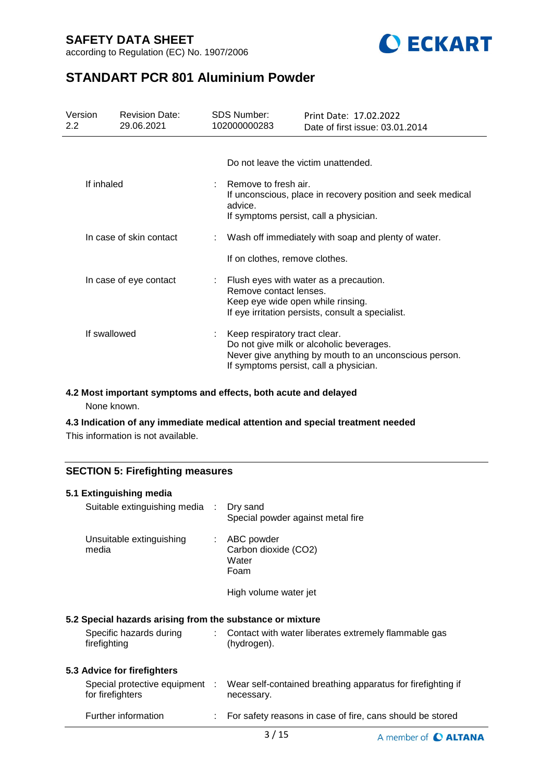according to Regulation (EC) No. 1907/2006



# **STANDART PCR 801 Aluminium Powder**

| Version<br>$2.2^{\circ}$ | <b>Revision Date:</b><br>29.06.2021 | SDS Number:<br>102000000283                                 | Print Date: 17.02.2022<br>Date of first issue: 03.01.2014                                                                                    |
|--------------------------|-------------------------------------|-------------------------------------------------------------|----------------------------------------------------------------------------------------------------------------------------------------------|
|                          |                                     | Do not leave the victim unattended.                         |                                                                                                                                              |
| If inhaled               |                                     | Remove to fresh air.<br>advice.                             | If unconscious, place in recovery position and seek medical<br>If symptoms persist, call a physician.                                        |
|                          | In case of skin contact             |                                                             | Wash off immediately with soap and plenty of water.                                                                                          |
|                          |                                     | If on clothes, remove clothes.                              |                                                                                                                                              |
|                          | In case of eye contact              | Remove contact lenses.<br>Keep eye wide open while rinsing. | Flush eyes with water as a precaution.<br>If eye irritation persists, consult a specialist.                                                  |
| If swallowed             |                                     | Keep respiratory tract clear.                               | Do not give milk or alcoholic beverages.<br>Never give anything by mouth to an unconscious person.<br>If symptoms persist, call a physician. |

### **4.2 Most important symptoms and effects, both acute and delayed**

None known.

## **4.3 Indication of any immediate medical attention and special treatment needed**

This information is not available.

## **SECTION 5: Firefighting measures**

| 5.1 Extinguishing media                                   |    |                                                                           |
|-----------------------------------------------------------|----|---------------------------------------------------------------------------|
| Suitable extinguishing media :                            |    | Dry sand<br>Special powder against metal fire                             |
| Unsuitable extinguishing<br>media                         | t. | ABC powder<br>Carbon dioxide (CO2)<br>Water<br>Foam                       |
|                                                           |    | High volume water jet                                                     |
| 5.2 Special hazards arising from the substance or mixture |    |                                                                           |
| Specific hazards during<br>firefighting                   | t. | Contact with water liberates extremely flammable gas<br>(hydrogen).       |
| 5.3 Advice for firefighters                               |    |                                                                           |
| Special protective equipment :<br>for firefighters        |    | Wear self-contained breathing apparatus for firefighting if<br>necessary. |
| Further information                                       |    | For safety reasons in case of fire, cans should be stored                 |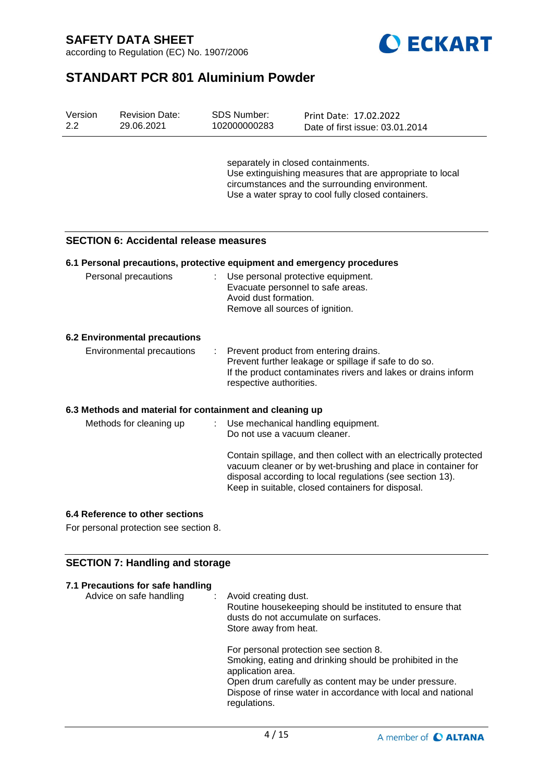



# **STANDART PCR 801 Aluminium Powder**

| Version<br>2.2 | <b>Revision Date:</b><br>29.06.2021           | SDS Number:<br>102000000283                              | Print Date: 17.02.2022<br>Date of first issue: 03.01.2014                                                                                                                                                                                           |
|----------------|-----------------------------------------------|----------------------------------------------------------|-----------------------------------------------------------------------------------------------------------------------------------------------------------------------------------------------------------------------------------------------------|
|                |                                               |                                                          | separately in closed containments.<br>Use extinguishing measures that are appropriate to local<br>circumstances and the surrounding environment.<br>Use a water spray to cool fully closed containers.                                              |
|                | <b>SECTION 6: Accidental release measures</b> |                                                          |                                                                                                                                                                                                                                                     |
|                |                                               |                                                          | 6.1 Personal precautions, protective equipment and emergency procedures                                                                                                                                                                             |
|                | Personal precautions                          | Avoid dust formation.<br>Remove all sources of ignition. | Use personal protective equipment.<br>Evacuate personnel to safe areas.                                                                                                                                                                             |
|                | <b>6.2 Environmental precautions</b>          |                                                          |                                                                                                                                                                                                                                                     |
|                | <b>Environmental precautions</b>              | respective authorities.                                  | Prevent product from entering drains.<br>Prevent further leakage or spillage if safe to do so.<br>If the product contaminates rivers and lakes or drains inform                                                                                     |
|                |                                               | 6.3 Methods and material for containment and cleaning up |                                                                                                                                                                                                                                                     |
|                | Methods for cleaning up                       | Do not use a vacuum cleaner.                             | Use mechanical handling equipment.                                                                                                                                                                                                                  |
|                |                                               |                                                          | Contain spillage, and then collect with an electrically protected<br>vacuum cleaner or by wet-brushing and place in container for<br>disposal according to local regulations (see section 13).<br>Keep in suitable, closed containers for disposal. |
|                | 6.4 Reference to other sections               |                                                          |                                                                                                                                                                                                                                                     |

For personal protection see section 8.

## **SECTION 7: Handling and storage**

| 7.1 Precautions for safe handling<br>Advice on safe handling | $:$ Avoid creating dust.<br>Routine housekeeping should be instituted to ensure that<br>dusts do not accumulate on surfaces.<br>Store away from heat.                                                                                                            |
|--------------------------------------------------------------|------------------------------------------------------------------------------------------------------------------------------------------------------------------------------------------------------------------------------------------------------------------|
|                                                              | For personal protection see section 8.<br>Smoking, eating and drinking should be prohibited in the<br>application area.<br>Open drum carefully as content may be under pressure.<br>Dispose of rinse water in accordance with local and national<br>regulations. |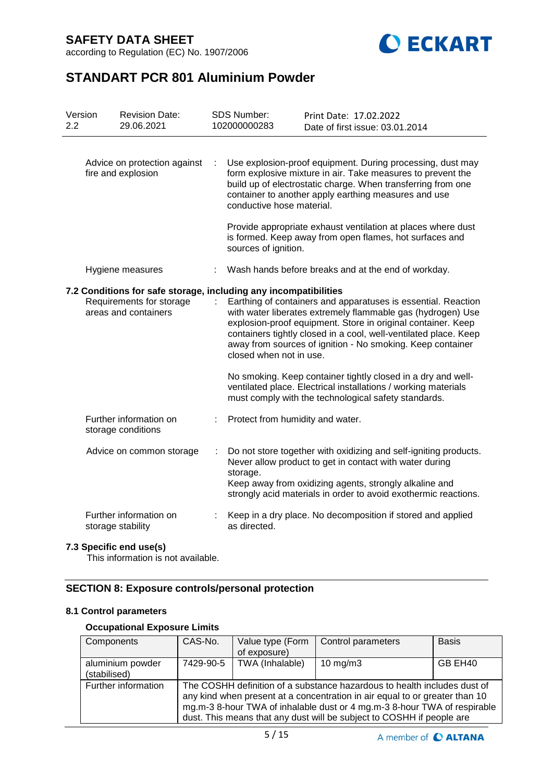according to Regulation (EC) No. 1907/2006



# **STANDART PCR 801 Aluminium Powder**

| Version<br>2.2                                                                                                       |  | <b>Revision Date:</b><br>29.06.2021          | <b>SDS Number:</b><br>102000000283                                                                                                                                                                                                                                                                                                                                                             | Print Date: 17.02.2022<br>Date of first issue: 03.01.2014                                                                                                                                                                                                |
|----------------------------------------------------------------------------------------------------------------------|--|----------------------------------------------|------------------------------------------------------------------------------------------------------------------------------------------------------------------------------------------------------------------------------------------------------------------------------------------------------------------------------------------------------------------------------------------------|----------------------------------------------------------------------------------------------------------------------------------------------------------------------------------------------------------------------------------------------------------|
| Advice on protection against<br>fire and explosion                                                                   |  |                                              | conductive hose material.                                                                                                                                                                                                                                                                                                                                                                      | Use explosion-proof equipment. During processing, dust may<br>form explosive mixture in air. Take measures to prevent the<br>build up of electrostatic charge. When transferring from one<br>container to another apply earthing measures and use        |
|                                                                                                                      |  |                                              | sources of ignition.                                                                                                                                                                                                                                                                                                                                                                           | Provide appropriate exhaust ventilation at places where dust<br>is formed. Keep away from open flames, hot surfaces and                                                                                                                                  |
|                                                                                                                      |  | Hygiene measures                             |                                                                                                                                                                                                                                                                                                                                                                                                | Wash hands before breaks and at the end of workday.                                                                                                                                                                                                      |
| 7.2 Conditions for safe storage, including any incompatibilities<br>Requirements for storage<br>areas and containers |  | closed when not in use.                      | Earthing of containers and apparatuses is essential. Reaction<br>with water liberates extremely flammable gas (hydrogen) Use<br>explosion-proof equipment. Store in original container. Keep<br>containers tightly closed in a cool, well-ventilated place. Keep<br>away from sources of ignition - No smoking. Keep container<br>No smoking. Keep container tightly closed in a dry and well- |                                                                                                                                                                                                                                                          |
|                                                                                                                      |  |                                              |                                                                                                                                                                                                                                                                                                                                                                                                | ventilated place. Electrical installations / working materials<br>must comply with the technological safety standards.                                                                                                                                   |
|                                                                                                                      |  | Further information on<br>storage conditions | Protect from humidity and water.                                                                                                                                                                                                                                                                                                                                                               |                                                                                                                                                                                                                                                          |
|                                                                                                                      |  | Advice on common storage                     | storage.                                                                                                                                                                                                                                                                                                                                                                                       | Do not store together with oxidizing and self-igniting products.<br>Never allow product to get in contact with water during<br>Keep away from oxidizing agents, strongly alkaline and<br>strongly acid materials in order to avoid exothermic reactions. |
|                                                                                                                      |  | Further information on<br>storage stability  | as directed.                                                                                                                                                                                                                                                                                                                                                                                   | Keep in a dry place. No decomposition if stored and applied                                                                                                                                                                                              |

## **7.3 Specific end use(s)**

This information is not available.

## **SECTION 8: Exposure controls/personal protection**

### **8.1 Control parameters**

## **Occupational Exposure Limits**

| Components                       | CAS-No.   | Value type (Form<br>of exposure)                                                                                                                                                                                                                                                                             | Control parameters  | <b>Basis</b> |  |  |
|----------------------------------|-----------|--------------------------------------------------------------------------------------------------------------------------------------------------------------------------------------------------------------------------------------------------------------------------------------------------------------|---------------------|--------------|--|--|
| aluminium powder<br>(stabilised) | 7429-90-5 | TWA (Inhalable)                                                                                                                                                                                                                                                                                              | $10 \text{ mg/m}$ 3 | GB EH40      |  |  |
| Further information              |           | The COSHH definition of a substance hazardous to health includes dust of<br>any kind when present at a concentration in air equal to or greater than 10<br>mg.m-3 8-hour TWA of inhalable dust or 4 mg.m-3 8-hour TWA of respirable<br>dust. This means that any dust will be subject to COSHH if people are |                     |              |  |  |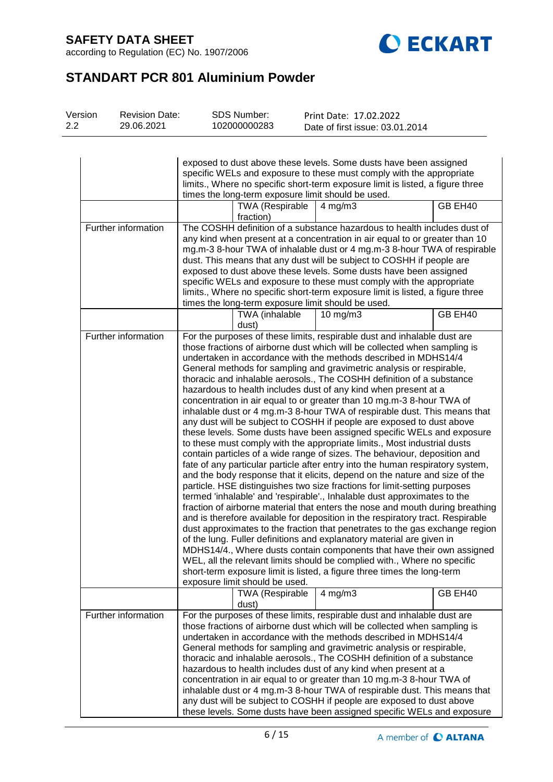according to Regulation (EC) No. 1907/2006



# **STANDART PCR 801 Aluminium Powder**

| Version | <b>Revision Date:</b> | SDS Number:  | Print Date: 17.02.2022          |
|---------|-----------------------|--------------|---------------------------------|
| 2.2     | 29.06.2021            | 102000000283 | Date of first issue: 03.01.2014 |

|                     | exposed to dust above these levels. Some dusts have been assigned<br>specific WELs and exposure to these must comply with the appropriate<br>limits., Where no specific short-term exposure limit is listed, a figure three<br>times the long-term exposure limit should be used.                                                                                                                                                                                                                                                                                                                 |                                                          |                                                                                                                                                                                                                                                                                                                                                                                                                                                                                                                                                                                                                                                                                                                                                                                                                                                                                                                                                                                                                                                                                                                                                                                                                                                                                                                                                                                                                                                                                                                                                                                                                                                                                                                                                                                                                       |         |  |
|---------------------|---------------------------------------------------------------------------------------------------------------------------------------------------------------------------------------------------------------------------------------------------------------------------------------------------------------------------------------------------------------------------------------------------------------------------------------------------------------------------------------------------------------------------------------------------------------------------------------------------|----------------------------------------------------------|-----------------------------------------------------------------------------------------------------------------------------------------------------------------------------------------------------------------------------------------------------------------------------------------------------------------------------------------------------------------------------------------------------------------------------------------------------------------------------------------------------------------------------------------------------------------------------------------------------------------------------------------------------------------------------------------------------------------------------------------------------------------------------------------------------------------------------------------------------------------------------------------------------------------------------------------------------------------------------------------------------------------------------------------------------------------------------------------------------------------------------------------------------------------------------------------------------------------------------------------------------------------------------------------------------------------------------------------------------------------------------------------------------------------------------------------------------------------------------------------------------------------------------------------------------------------------------------------------------------------------------------------------------------------------------------------------------------------------------------------------------------------------------------------------------------------------|---------|--|
|                     | <b>TWA (Respirable</b><br>GB EH40<br>$4$ mg/m $3$<br>fraction)                                                                                                                                                                                                                                                                                                                                                                                                                                                                                                                                    |                                                          |                                                                                                                                                                                                                                                                                                                                                                                                                                                                                                                                                                                                                                                                                                                                                                                                                                                                                                                                                                                                                                                                                                                                                                                                                                                                                                                                                                                                                                                                                                                                                                                                                                                                                                                                                                                                                       |         |  |
| Further information | The COSHH definition of a substance hazardous to health includes dust of<br>any kind when present at a concentration in air equal to or greater than 10<br>mg.m-3 8-hour TWA of inhalable dust or 4 mg.m-3 8-hour TWA of respirable<br>dust. This means that any dust will be subject to COSHH if people are<br>exposed to dust above these levels. Some dusts have been assigned<br>specific WELs and exposure to these must comply with the appropriate<br>limits., Where no specific short-term exposure limit is listed, a figure three<br>times the long-term exposure limit should be used. |                                                          |                                                                                                                                                                                                                                                                                                                                                                                                                                                                                                                                                                                                                                                                                                                                                                                                                                                                                                                                                                                                                                                                                                                                                                                                                                                                                                                                                                                                                                                                                                                                                                                                                                                                                                                                                                                                                       |         |  |
|                     |                                                                                                                                                                                                                                                                                                                                                                                                                                                                                                                                                                                                   | TWA (inhalable<br>dust)                                  | 10 $mg/m3$                                                                                                                                                                                                                                                                                                                                                                                                                                                                                                                                                                                                                                                                                                                                                                                                                                                                                                                                                                                                                                                                                                                                                                                                                                                                                                                                                                                                                                                                                                                                                                                                                                                                                                                                                                                                            | GB EH40 |  |
| Further information |                                                                                                                                                                                                                                                                                                                                                                                                                                                                                                                                                                                                   | exposure limit should be used.<br><b>TWA (Respirable</b> | For the purposes of these limits, respirable dust and inhalable dust are<br>those fractions of airborne dust which will be collected when sampling is<br>undertaken in accordance with the methods described in MDHS14/4<br>General methods for sampling and gravimetric analysis or respirable,<br>thoracic and inhalable aerosols., The COSHH definition of a substance<br>hazardous to health includes dust of any kind when present at a<br>concentration in air equal to or greater than 10 mg.m-3 8-hour TWA of<br>inhalable dust or 4 mg.m-3 8-hour TWA of respirable dust. This means that<br>any dust will be subject to COSHH if people are exposed to dust above<br>these levels. Some dusts have been assigned specific WELs and exposure<br>to these must comply with the appropriate limits., Most industrial dusts<br>contain particles of a wide range of sizes. The behaviour, deposition and<br>fate of any particular particle after entry into the human respiratory system,<br>and the body response that it elicits, depend on the nature and size of the<br>particle. HSE distinguishes two size fractions for limit-setting purposes<br>termed 'inhalable' and 'respirable'., Inhalable dust approximates to the<br>fraction of airborne material that enters the nose and mouth during breathing<br>and is therefore available for deposition in the respiratory tract. Respirable<br>dust approximates to the fraction that penetrates to the gas exchange region<br>of the lung. Fuller definitions and explanatory material are given in<br>MDHS14/4., Where dusts contain components that have their own assigned<br>WEL, all the relevant limits should be complied with., Where no specific<br>short-term exposure limit is listed, a figure three times the long-term<br>$4$ mg/m $3$ | GB EH40 |  |
| Further information |                                                                                                                                                                                                                                                                                                                                                                                                                                                                                                                                                                                                   | dust)                                                    | For the purposes of these limits, respirable dust and inhalable dust are                                                                                                                                                                                                                                                                                                                                                                                                                                                                                                                                                                                                                                                                                                                                                                                                                                                                                                                                                                                                                                                                                                                                                                                                                                                                                                                                                                                                                                                                                                                                                                                                                                                                                                                                              |         |  |
|                     |                                                                                                                                                                                                                                                                                                                                                                                                                                                                                                                                                                                                   |                                                          | those fractions of airborne dust which will be collected when sampling is<br>undertaken in accordance with the methods described in MDHS14/4<br>General methods for sampling and gravimetric analysis or respirable,<br>thoracic and inhalable aerosols., The COSHH definition of a substance<br>hazardous to health includes dust of any kind when present at a<br>concentration in air equal to or greater than 10 mg.m-3 8-hour TWA of<br>inhalable dust or 4 mg.m-3 8-hour TWA of respirable dust. This means that<br>any dust will be subject to COSHH if people are exposed to dust above<br>these levels. Some dusts have been assigned specific WELs and exposure                                                                                                                                                                                                                                                                                                                                                                                                                                                                                                                                                                                                                                                                                                                                                                                                                                                                                                                                                                                                                                                                                                                                             |         |  |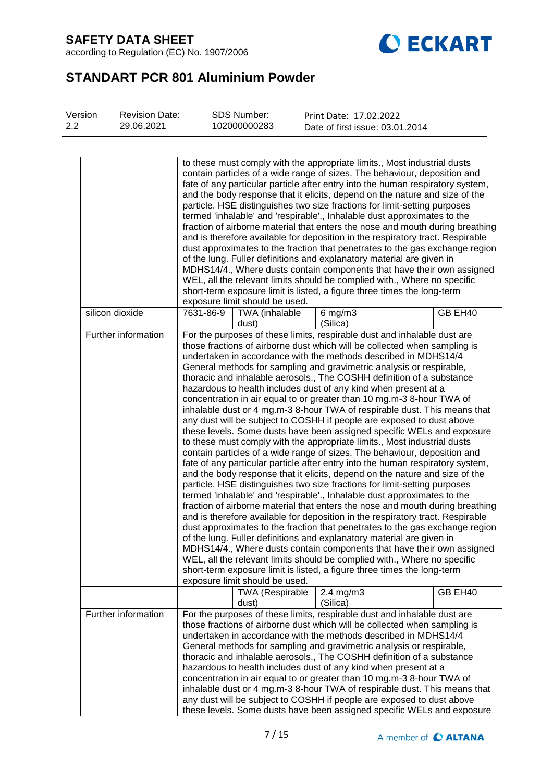according to Regulation (EC) No. 1907/2006



# **STANDART PCR 801 Aluminium Powder**

| Version<br>2.2 | <b>Revision Date:</b><br>29.06.2021 | <b>SDS Number:</b><br>102000000283                                                                                                                                                                                                                                                                                                                                                                                                                                                                                                                                                                                                                                                                                                                                                                                                                                                                                                                                                                                                                                                                                                                                                                                                                                                                                                                                                                                                                                                                                                                                                                                                                                                                                                                                                                                                                                | Print Date: 17.02.2022          |         |
|----------------|-------------------------------------|-------------------------------------------------------------------------------------------------------------------------------------------------------------------------------------------------------------------------------------------------------------------------------------------------------------------------------------------------------------------------------------------------------------------------------------------------------------------------------------------------------------------------------------------------------------------------------------------------------------------------------------------------------------------------------------------------------------------------------------------------------------------------------------------------------------------------------------------------------------------------------------------------------------------------------------------------------------------------------------------------------------------------------------------------------------------------------------------------------------------------------------------------------------------------------------------------------------------------------------------------------------------------------------------------------------------------------------------------------------------------------------------------------------------------------------------------------------------------------------------------------------------------------------------------------------------------------------------------------------------------------------------------------------------------------------------------------------------------------------------------------------------------------------------------------------------------------------------------------------------|---------------------------------|---------|
|                |                                     | to these must comply with the appropriate limits., Most industrial dusts<br>contain particles of a wide range of sizes. The behaviour, deposition and<br>fate of any particular particle after entry into the human respiratory system,<br>and the body response that it elicits, depend on the nature and size of the<br>particle. HSE distinguishes two size fractions for limit-setting purposes<br>termed 'inhalable' and 'respirable'., Inhalable dust approximates to the<br>fraction of airborne material that enters the nose and mouth during breathing<br>and is therefore available for deposition in the respiratory tract. Respirable<br>dust approximates to the fraction that penetrates to the gas exchange region<br>of the lung. Fuller definitions and explanatory material are given in<br>MDHS14/4., Where dusts contain components that have their own assigned                                                                                                                                                                                                                                                                                                                                                                                                                                                                                                                                                                                                                                                                                                                                                                                                                                                                                                                                                                             | Date of first issue: 03.01.2014 |         |
|                |                                     | WEL, all the relevant limits should be complied with., Where no specific<br>short-term exposure limit is listed, a figure three times the long-term<br>exposure limit should be used.                                                                                                                                                                                                                                                                                                                                                                                                                                                                                                                                                                                                                                                                                                                                                                                                                                                                                                                                                                                                                                                                                                                                                                                                                                                                                                                                                                                                                                                                                                                                                                                                                                                                             |                                 |         |
|                | silicon dioxide                     | 7631-86-9<br>TWA (inhalable<br>dust)                                                                                                                                                                                                                                                                                                                                                                                                                                                                                                                                                                                                                                                                                                                                                                                                                                                                                                                                                                                                                                                                                                                                                                                                                                                                                                                                                                                                                                                                                                                                                                                                                                                                                                                                                                                                                              | $6$ mg/m $3$<br>(Silica)        | GB EH40 |
|                | Further information                 | For the purposes of these limits, respirable dust and inhalable dust are<br>those fractions of airborne dust which will be collected when sampling is<br>undertaken in accordance with the methods described in MDHS14/4<br>General methods for sampling and gravimetric analysis or respirable,<br>thoracic and inhalable aerosols., The COSHH definition of a substance<br>hazardous to health includes dust of any kind when present at a<br>concentration in air equal to or greater than 10 mg.m-3 8-hour TWA of<br>inhalable dust or 4 mg.m-3 8-hour TWA of respirable dust. This means that<br>any dust will be subject to COSHH if people are exposed to dust above<br>these levels. Some dusts have been assigned specific WELs and exposure<br>to these must comply with the appropriate limits., Most industrial dusts<br>contain particles of a wide range of sizes. The behaviour, deposition and<br>fate of any particular particle after entry into the human respiratory system,<br>and the body response that it elicits, depend on the nature and size of the<br>particle. HSE distinguishes two size fractions for limit-setting purposes<br>termed 'inhalable' and 'respirable'., Inhalable dust approximates to the<br>fraction of airborne material that enters the nose and mouth during breathing<br>and is therefore available for deposition in the respiratory tract. Respirable<br>dust approximates to the fraction that penetrates to the gas exchange region<br>of the lung. Fuller definitions and explanatory material are given in<br>MDHS14/4., Where dusts contain components that have their own assigned<br>WEL, all the relevant limits should be complied with., Where no specific<br>short-term exposure limit is listed, a figure three times the long-term<br>exposure limit should be used.<br><b>TWA (Respirable</b> | $2.4 \text{ mg/m}$ 3            | GB EH40 |
|                |                                     | dust)                                                                                                                                                                                                                                                                                                                                                                                                                                                                                                                                                                                                                                                                                                                                                                                                                                                                                                                                                                                                                                                                                                                                                                                                                                                                                                                                                                                                                                                                                                                                                                                                                                                                                                                                                                                                                                                             | (Silica)                        |         |
|                | Further information                 | For the purposes of these limits, respirable dust and inhalable dust are<br>those fractions of airborne dust which will be collected when sampling is<br>undertaken in accordance with the methods described in MDHS14/4<br>General methods for sampling and gravimetric analysis or respirable,<br>thoracic and inhalable aerosols., The COSHH definition of a substance<br>hazardous to health includes dust of any kind when present at a<br>concentration in air equal to or greater than 10 mg.m-3 8-hour TWA of<br>inhalable dust or 4 mg.m-3 8-hour TWA of respirable dust. This means that<br>any dust will be subject to COSHH if people are exposed to dust above<br>these levels. Some dusts have been assigned specific WELs and exposure                                                                                                                                                                                                                                                                                                                                                                                                                                                                                                                                                                                                                                                                                                                                                                                                                                                                                                                                                                                                                                                                                                             |                                 |         |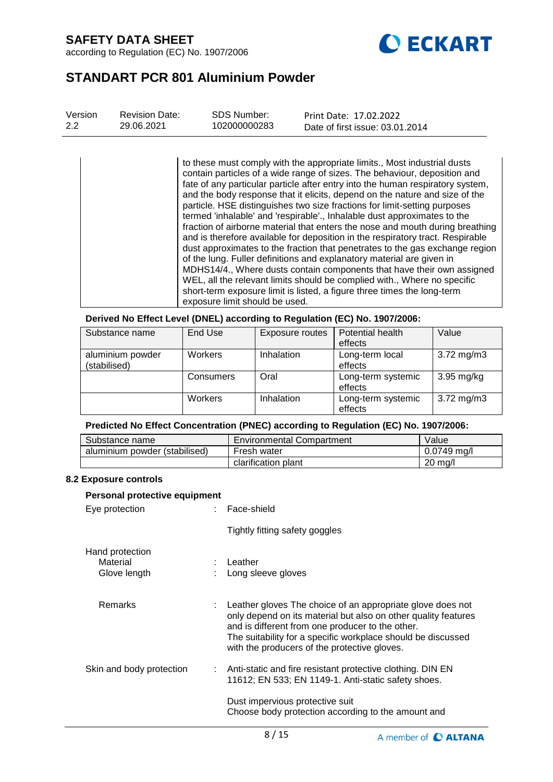according to Regulation (EC) No. 1907/2006



# **STANDART PCR 801 Aluminium Powder**

| Version | <b>Revision Date:</b> | SDS Number:  | Print Date: 17.02.2022          |
|---------|-----------------------|--------------|---------------------------------|
| 2.2     | 29.06.2021            | 102000000283 | Date of first issue: 03.01.2014 |

to these must comply with the appropriate limits., Most industrial dusts contain particles of a wide range of sizes. The behaviour, deposition and fate of any particular particle after entry into the human respiratory system, and the body response that it elicits, depend on the nature and size of the particle. HSE distinguishes two size fractions for limit-setting purposes termed 'inhalable' and 'respirable'., Inhalable dust approximates to the fraction of airborne material that enters the nose and mouth during breathing and is therefore available for deposition in the respiratory tract. Respirable dust approximates to the fraction that penetrates to the gas exchange region of the lung. Fuller definitions and explanatory material are given in MDHS14/4., Where dusts contain components that have their own assigned WEL, all the relevant limits should be complied with., Where no specific short-term exposure limit is listed, a figure three times the long-term exposure limit should be used.

**Derived No Effect Level (DNEL) according to Regulation (EC) No. 1907/2006:**

| Substance name                   | End Use   | Exposure routes | Potential health<br>effects   | Value                   |
|----------------------------------|-----------|-----------------|-------------------------------|-------------------------|
| aluminium powder<br>(stabilised) | Workers   | Inhalation      | Long-term local<br>effects    | $3.72 \,\mathrm{mg/m3}$ |
|                                  | Consumers | Oral            | Long-term systemic<br>effects | $3.95 \text{ mg/kg}$    |
|                                  | Workers   | Inhalation      | Long-term systemic<br>effects | $3.72 \,\mathrm{mg/m3}$ |

## **Predicted No Effect Concentration (PNEC) according to Regulation (EC) No. 1907/2006:**

| Substance name                | <b>Environmental Compartment</b> | Value             |
|-------------------------------|----------------------------------|-------------------|
| aluminium powder (stabilised) | Fresh water                      | $0.0749$ mg/l     |
|                               | clarification plant              | $20 \text{ ma/l}$ |

### **8.2 Exposure controls**

| Personal protective equipment               |  |                                                                                                                                                                                                                                                                                                               |  |  |  |
|---------------------------------------------|--|---------------------------------------------------------------------------------------------------------------------------------------------------------------------------------------------------------------------------------------------------------------------------------------------------------------|--|--|--|
| Eye protection                              |  | : Face-shield                                                                                                                                                                                                                                                                                                 |  |  |  |
|                                             |  | Tightly fitting safety goggles                                                                                                                                                                                                                                                                                |  |  |  |
| Hand protection<br>Material<br>Glove length |  | $:$ Leather<br>: Long sleeve gloves                                                                                                                                                                                                                                                                           |  |  |  |
| <b>Remarks</b>                              |  | $\therefore$ Leather gloves The choice of an appropriate glove does not<br>only depend on its material but also on other quality features<br>and is different from one producer to the other.<br>The suitability for a specific workplace should be discussed<br>with the producers of the protective gloves. |  |  |  |
| Skin and body protection                    |  | : Anti-static and fire resistant protective clothing. DIN EN<br>11612; EN 533; EN 1149-1. Anti-static safety shoes.                                                                                                                                                                                           |  |  |  |
|                                             |  | Dust impervious protective suit<br>Choose body protection according to the amount and                                                                                                                                                                                                                         |  |  |  |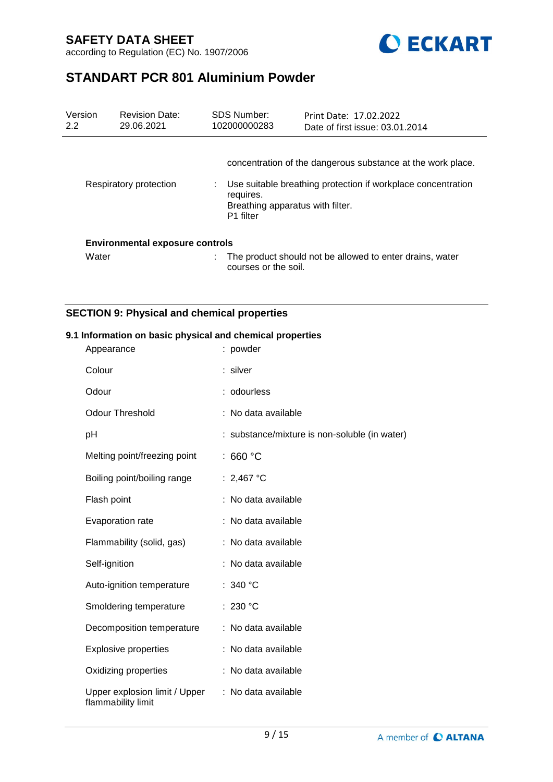



# **STANDART PCR 801 Aluminium Powder**

| Version<br>2.2 | <b>Revision Date:</b><br>29.06.2021    | <b>SDS Number:</b><br>102000000283 | Print Date: 17.02.2022<br>Date of first issue: 03.01.2014                                                                                                       |
|----------------|----------------------------------------|------------------------------------|-----------------------------------------------------------------------------------------------------------------------------------------------------------------|
|                | Respiratory protection                 | requires.<br>P <sub>1</sub> filter | concentration of the dangerous substance at the work place.<br>Use suitable breathing protection if workplace concentration<br>Breathing apparatus with filter. |
|                | <b>Environmental exposure controls</b> |                                    |                                                                                                                                                                 |
| Water          |                                        | courses or the soil.               | The product should not be allowed to enter drains, water                                                                                                        |

## **SECTION 9: Physical and chemical properties**

### **9.1 Information on basic physical and chemical properties**

| Appearance                                          | : powder                                      |
|-----------------------------------------------------|-----------------------------------------------|
| Colour                                              | : silver                                      |
| Odour                                               | : odourless                                   |
| <b>Odour Threshold</b>                              | : No data available                           |
| рH                                                  | : substance/mixture is non-soluble (in water) |
| Melting point/freezing point                        | : 660 $^{\circ}$ C                            |
| Boiling point/boiling range                         | : 2,467 °C                                    |
| Flash point                                         | : No data available                           |
| Evaporation rate                                    | : No data available                           |
| Flammability (solid, gas)                           | : No data available                           |
| Self-ignition                                       | : No data available                           |
| Auto-ignition temperature                           | : 340 $^{\circ}$ C                            |
| Smoldering temperature                              | : 230 $^{\circ}$ C                            |
| Decomposition temperature                           | : No data available                           |
| <b>Explosive properties</b>                         | : No data available                           |
| Oxidizing properties                                | : No data available                           |
| Upper explosion limit / Upper<br>flammability limit | : No data available                           |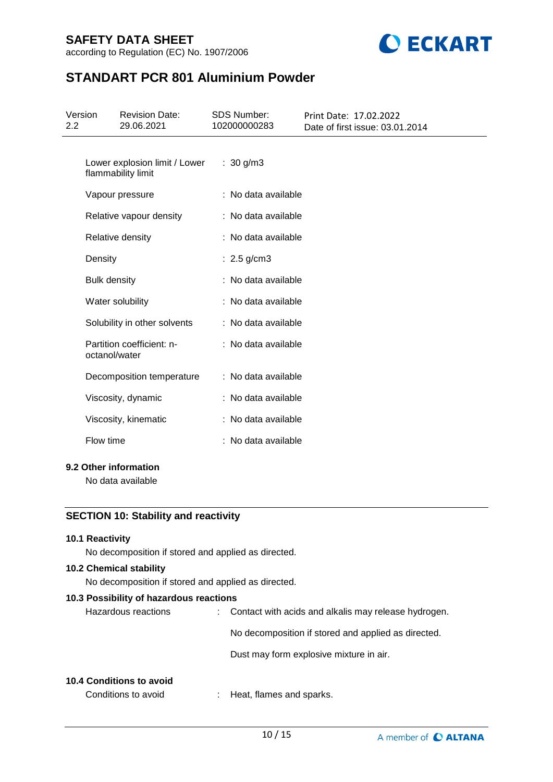

according to Regulation (EC) No. 1907/2006

# **STANDART PCR 801 Aluminium Powder**

| Version<br>2.2                             |                     | <b>Revision Date:</b><br>29.06.2021                 | <b>SDS Number:</b><br>102000000283 | Print Date: 17.02.2022<br>Date of first issue: 03.01.2014 |
|--------------------------------------------|---------------------|-----------------------------------------------------|------------------------------------|-----------------------------------------------------------|
|                                            |                     | Lower explosion limit / Lower<br>flammability limit | : $30 g/m3$                        |                                                           |
|                                            |                     | Vapour pressure                                     | : No data available                |                                                           |
|                                            |                     | Relative vapour density                             | : No data available                |                                                           |
|                                            |                     | Relative density                                    | : No data available                |                                                           |
|                                            | Density             |                                                     | : $2.5$ g/cm3                      |                                                           |
|                                            | <b>Bulk density</b> |                                                     | : No data available                |                                                           |
|                                            |                     | Water solubility                                    | : No data available                |                                                           |
|                                            |                     | Solubility in other solvents                        | : No data available                |                                                           |
|                                            | octanol/water       | Partition coefficient: n-                           | : No data available                |                                                           |
|                                            |                     | Decomposition temperature                           | : No data available                |                                                           |
|                                            |                     | Viscosity, dynamic                                  | : No data available                |                                                           |
|                                            |                     | Viscosity, kinematic                                | : No data available                |                                                           |
|                                            | Flow time           |                                                     | : No data available                |                                                           |
| 9.2 Other information<br>No data available |                     |                                                     |                                    |                                                           |

## **SECTION 10: Stability and reactivity**

### **10.1 Reactivity**

No decomposition if stored and applied as directed.

### **10.2 Chemical stability**

No decomposition if stored and applied as directed.

### **10.3 Possibility of hazardous reactions**

| : Contact with acids and alkalis may release hydrogen. |
|--------------------------------------------------------|
| No decomposition if stored and applied as directed.    |
| Dust may form explosive mixture in air.                |
|                                                        |

## **10.4 Conditions to avoid**

Conditions to avoid : Heat, flames and sparks.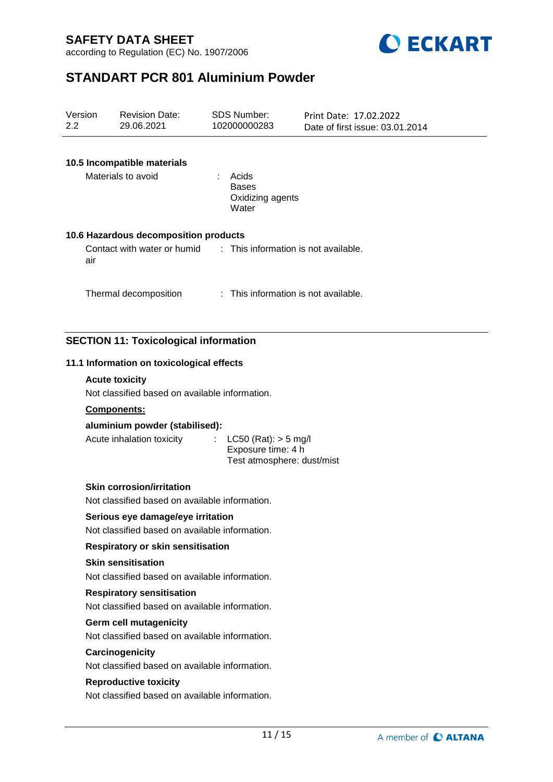according to Regulation (EC) No. 1907/2006



# **STANDART PCR 801 Aluminium Powder**

| Version<br>2.2 |                                                                                    | <b>Revision Date:</b><br>29.06.2021                                                 |    | <b>SDS Number:</b><br>102000000283                 | Print Date: 17.02.2022<br>Date of first issue: 03.01.2014 |  |
|----------------|------------------------------------------------------------------------------------|-------------------------------------------------------------------------------------|----|----------------------------------------------------|-----------------------------------------------------------|--|
|                |                                                                                    | 10.5 Incompatible materials<br>Materials to avoid                                   |    | Acids<br><b>Bases</b><br>Oxidizing agents<br>Water |                                                           |  |
|                | air                                                                                | 10.6 Hazardous decomposition products<br>Contact with water or humid                |    |                                                    | : This information is not available.                      |  |
|                |                                                                                    | Thermal decomposition                                                               |    |                                                    | : This information is not available.                      |  |
|                |                                                                                    | <b>SECTION 11: Toxicological information</b>                                        |    |                                                    |                                                           |  |
|                |                                                                                    | 11.1 Information on toxicological effects                                           |    |                                                    |                                                           |  |
|                |                                                                                    | <b>Acute toxicity</b><br>Not classified based on available information.             |    |                                                    |                                                           |  |
|                |                                                                                    | Components:                                                                         |    |                                                    |                                                           |  |
|                |                                                                                    | aluminium powder (stabilised):                                                      |    |                                                    |                                                           |  |
|                |                                                                                    | Acute inhalation toxicity                                                           | t. | $LC50$ (Rat): $> 5$ mg/l<br>Exposure time: 4 h     | Test atmosphere: dust/mist                                |  |
|                | <b>Skin corrosion/irritation</b><br>Not classified based on available information. |                                                                                     |    |                                                    |                                                           |  |
|                |                                                                                    | Serious eye damage/eye irritation<br>Not classified based on available information. |    |                                                    |                                                           |  |
|                |                                                                                    | <b>Respiratory or skin sensitisation</b>                                            |    |                                                    |                                                           |  |
|                | <b>Skin sensitisation</b><br>Not classified based on available information.        |                                                                                     |    |                                                    |                                                           |  |
|                | <b>Respiratory sensitisation</b><br>Not classified based on available information. |                                                                                     |    |                                                    |                                                           |  |
|                |                                                                                    | <b>Germ cell mutagenicity</b><br>Not classified based on available information.     |    |                                                    |                                                           |  |
|                |                                                                                    | Carcinogenicity<br>Not classified based on available information.                   |    |                                                    |                                                           |  |
|                |                                                                                    | <b>Reproductive toxicity</b><br>Not classified based on available information.      |    |                                                    |                                                           |  |
|                |                                                                                    |                                                                                     |    |                                                    |                                                           |  |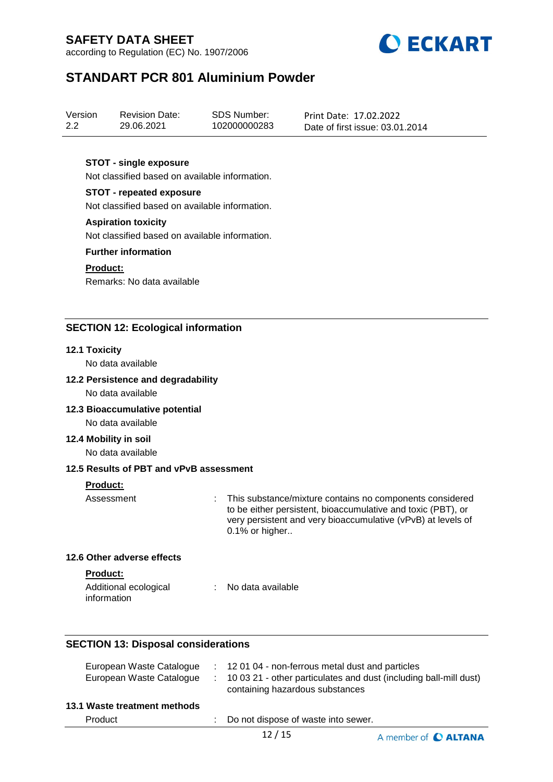according to Regulation (EC) No. 1907/2006



# **STANDART PCR 801 Aluminium Powder**

| Version | <b>Revision Date:</b> | <b>SDS Number:</b> | Print Date: 17.02.2022          |
|---------|-----------------------|--------------------|---------------------------------|
| 2.2     | 29.06.2021            | 102000000283       | Date of first issue: 03.01.2014 |

### **STOT - single exposure**

Not classified based on available information.

## **STOT - repeated exposure**

Not classified based on available information.

#### **Aspiration toxicity**

Not classified based on available information.

### **Further information**

### **Product:**

Remarks: No data available

### **SECTION 12: Ecological information**

### **12.1 Toxicity**

No data available

#### **12.2 Persistence and degradability**

No data available

### **12.3 Bioaccumulative potential**

No data available

#### **12.4 Mobility in soil**

No data available

### **12.5 Results of PBT and vPvB assessment**

### **Product:**

Assessment : This substance/mixture contains no components considered to be either persistent, bioaccumulative and toxic (PBT), or very persistent and very bioaccumulative (vPvB) at levels of 0.1% or higher..

#### **12.6 Other adverse effects**

#### **Product:**

| Additional ecological | No data available |
|-----------------------|-------------------|
| information           |                   |

### **SECTION 13: Disposal considerations**

| European Waste Catalogue<br>European Waste Catalogue |    | $\therefore$ 12 01 04 - non-ferrous metal dust and particles<br>$\pm$ 10 03 21 - other particulates and dust (including ball-mill dust)<br>containing hazardous substances |
|------------------------------------------------------|----|----------------------------------------------------------------------------------------------------------------------------------------------------------------------------|
| 13.1 Waste treatment methods                         |    |                                                                                                                                                                            |
| Product                                              | t. | Do not dispose of waste into sewer.                                                                                                                                        |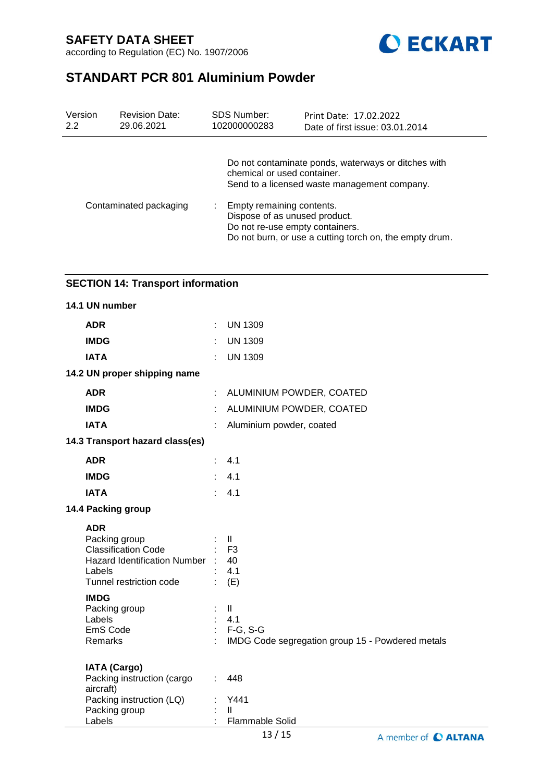according to Regulation (EC) No. 1907/2006



# **STANDART PCR 801 Aluminium Powder**

| Version<br>2.2         | <b>Revision Date:</b><br>29.06.2021 | <b>SDS Number:</b><br>102000000283 | Print Date: 17.02.2022<br>Date of first issue: 03.01.2014                                                                                                |  |  |
|------------------------|-------------------------------------|------------------------------------|----------------------------------------------------------------------------------------------------------------------------------------------------------|--|--|
|                        |                                     |                                    | Do not contaminate ponds, waterways or ditches with<br>chemical or used container.<br>Send to a licensed waste management company.                       |  |  |
| Contaminated packaging |                                     |                                    | Empty remaining contents.<br>Dispose of as unused product.<br>Do not re-use empty containers.<br>Do not burn, or use a cutting torch on, the empty drum. |  |  |

## **SECTION 14: Transport information**

| 14.1 UN number                                                                                                                      |                |                                                                                        |
|-------------------------------------------------------------------------------------------------------------------------------------|----------------|----------------------------------------------------------------------------------------|
| <b>ADR</b>                                                                                                                          | $\mathbb{R}^n$ | <b>UN 1309</b>                                                                         |
| <b>IMDG</b>                                                                                                                         | ÷              | <b>UN 1309</b>                                                                         |
| <b>IATA</b>                                                                                                                         |                | <b>UN 1309</b>                                                                         |
| 14.2 UN proper shipping name                                                                                                        |                |                                                                                        |
| <b>ADR</b>                                                                                                                          | ÷.             | ALUMINIUM POWDER, COATED                                                               |
| <b>IMDG</b>                                                                                                                         |                | ALUMINIUM POWDER, COATED                                                               |
| <b>IATA</b>                                                                                                                         |                | Aluminium powder, coated                                                               |
| 14.3 Transport hazard class(es)                                                                                                     |                |                                                                                        |
| <b>ADR</b>                                                                                                                          | ÷              | 4.1                                                                                    |
| <b>IMDG</b>                                                                                                                         |                | 4.1                                                                                    |
| <b>IATA</b>                                                                                                                         | $\epsilon$     | 4.1                                                                                    |
| 14.4 Packing group                                                                                                                  |                |                                                                                        |
| <b>ADR</b><br>Packing group<br><b>Classification Code</b><br>Hazard Identification Number : 40<br>Labels<br>Tunnel restriction code |                | $\mathbf{II}$<br>F <sub>3</sub><br>4.1<br>(E)                                          |
| <b>IMDG</b><br>Packing group<br>Labels<br>EmS Code<br>Remarks                                                                       |                | $\mathbf{II}$<br>4.1<br>$F-G, S-G$<br>IMDG Code segregation group 15 - Powdered metals |
| <b>IATA (Cargo)</b><br>Packing instruction (cargo<br>aircraft)<br>Packing instruction (LQ)<br>Packing group<br>Labels               | $\mathbb{R}^n$ | 448<br>Y441<br>$\mathbf{I}$<br><b>Flammable Solid</b>                                  |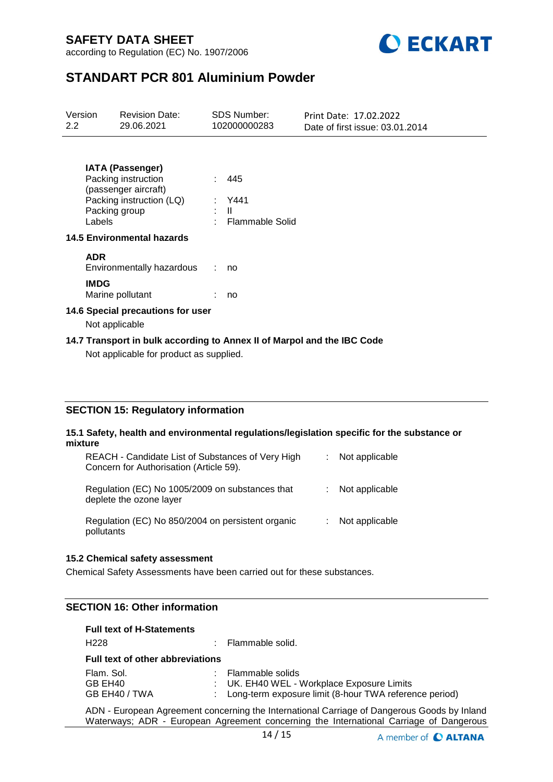according to Regulation (EC) No. 1907/2006



# **STANDART PCR 801 Aluminium Powder**

| Version<br>$2.2^{\circ}$                                                                                           |                                   | <b>Revision Date:</b><br>29.06.2021                                                                |  | <b>SDS Number:</b><br>102000000283 | Print Date: 17.02.2022<br>Date of first issue: 03.01.2014 |  |  |  |  |
|--------------------------------------------------------------------------------------------------------------------|-----------------------------------|----------------------------------------------------------------------------------------------------|--|------------------------------------|-----------------------------------------------------------|--|--|--|--|
|                                                                                                                    |                                   | <b>IATA (Passenger)</b><br>Packing instruction<br>(passenger aircraft)<br>Packing instruction (LQ) |  | 445<br>: Y441                      |                                                           |  |  |  |  |
|                                                                                                                    | Labels                            | Packing group                                                                                      |  | : II<br>: Flammable Solid          |                                                           |  |  |  |  |
|                                                                                                                    | <b>14.5 Environmental hazards</b> |                                                                                                    |  |                                    |                                                           |  |  |  |  |
|                                                                                                                    | <b>ADR</b>                        | Environmentally hazardous                                                                          |  | : no                               |                                                           |  |  |  |  |
|                                                                                                                    | <b>IMDG</b>                       | Marine pollutant                                                                                   |  | no                                 |                                                           |  |  |  |  |
| 14.6 Special precautions for user<br>Not applicable                                                                |                                   |                                                                                                    |  |                                    |                                                           |  |  |  |  |
| 14.7 Transport in bulk according to Annex II of Marpol and the IBC Code<br>Not applicable for product as supplied. |                                   |                                                                                                    |  |                                    |                                                           |  |  |  |  |

## **SECTION 15: Regulatory information**

#### **15.1 Safety, health and environmental regulations/legislation specific for the substance or mixture**

| REACH - Candidate List of Substances of Very High<br>Concern for Authorisation (Article 59). | Not applicable |
|----------------------------------------------------------------------------------------------|----------------|
| Regulation (EC) No 1005/2009 on substances that<br>deplete the ozone layer                   | Not applicable |
| Regulation (EC) No 850/2004 on persistent organic<br>pollutants                              | Not applicable |

#### **15.2 Chemical safety assessment**

Chemical Safety Assessments have been carried out for these substances.

## **SECTION 16: Other information**

### **Full text of H-Statements**

| H <sub>228</sub>                        | : Flammable solid.                                                                                                           |
|-----------------------------------------|------------------------------------------------------------------------------------------------------------------------------|
| <b>Full text of other abbreviations</b> |                                                                                                                              |
| Flam. Sol.<br>GB EH40<br>GB EH40 / TWA  | : Flammable solids<br>: UK. EH40 WEL - Workplace Exposure Limits<br>: Long-term exposure limit (8-hour TWA reference period) |

ADN - European Agreement concerning the International Carriage of Dangerous Goods by Inland Waterways; ADR - European Agreement concerning the International Carriage of Dangerous